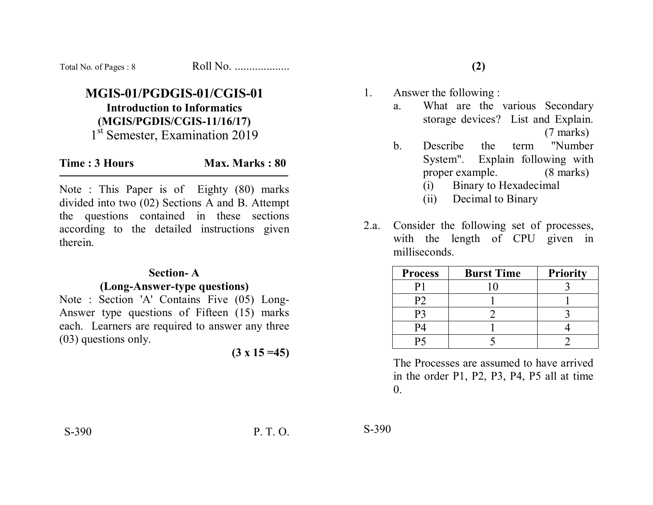| Total No. of Pages: 8 | Roll No. |
|-----------------------|----------|
|-----------------------|----------|

## **MGIS-01/PGDGIS-01/CGIS-01 Introduction to Informatics (MGIS/PGDIS/CGIS-11/16/17)**  1<sup>st</sup> Semester, Examination 2019

| Time: 3 Hours |  | Max. Marks: 80 |  |
|---------------|--|----------------|--|
|---------------|--|----------------|--|

Note : This Paper is of Eighty (80) marks divided into two (02) Sections A and B. Attempt the questions contained in these sections according to the detailed instructions given therein.

#### **Section- A**

### **(Long-Answer-type questions)**

Note : Section 'A' Contains Five (05) Long-Answer type questions of Fifteen (15) marks each. Learners are required to answer any three (03) questions only.

 $(3 \times 15 = 45)$ 

1. Answer the following :

- a. What are the various Secondary storage devices? List and Explain. (7 marks)
- b. Describe the term "Number System". Explain following with proper example. (8 marks) (i) Binary to Hexadecimal
	- (ii) Decimal to Binary
- 2.a. Consider the following set of processes, with the length of CPU given in milliseconds.

| <b>Process</b> | <b>Burst Time</b> | <b>Priority</b> |
|----------------|-------------------|-----------------|
|                |                   |                 |
| Р2             |                   |                 |
| P٦             |                   |                 |
| P4             |                   |                 |
|                |                   |                 |

The Processes are assumed to have arrived in the order P1, P2, P3, P4, P5 all at time  $\theta$ .

S-390 P. T. O.

S-390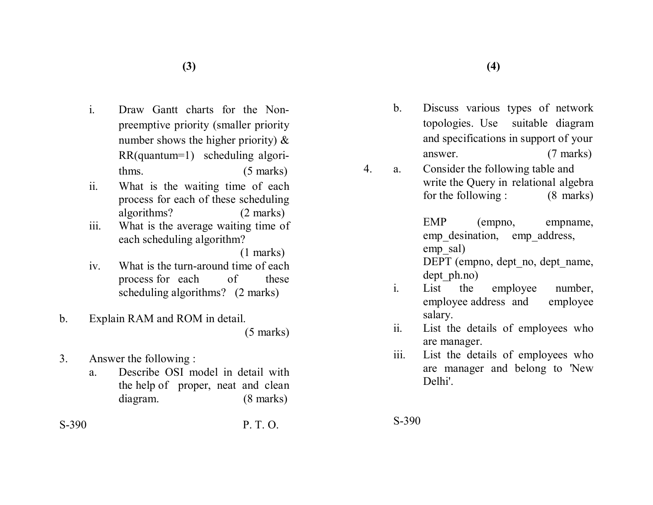- i. Draw Gantt charts for the Nonpreemptive priority (smaller priority number shows the higher priority)  $\&$ RR(quantum=1) scheduling algorithms. (5 marks)
- ii. What is the waiting time of each process for each of these scheduling algorithms? (2 marks)
- iii. What is the average waiting time of each scheduling algorithm?

(1 marks)

- iv. What is the turn-around time of each process for each of these scheduling algorithms? (2 marks)
- b. Explain RAM and ROM in detail. (5 marks)
- 3. Answer the following :
	- a. Describe OSI model in detail with the help of proper, neat and clean diagram. (8 marks)

 $S-390$  PTO

b. Discuss various types of network topologies. Use suitable diagram and specifications in support of your answer. (7 marks)

4. a. Consider the following table and write the Query in relational algebra for the following : (8 marks)

> EMP (empno, empname, emp desination, emp address, emp\_sal) DEPT (empno, dept no, dept name,

dept ph.no)

- i. List the employee number, employee address and employee salary.
- ii. List the details of employees who are manager.
- iii. List the details of employees who are manager and belong to 'New Delhi'.

S-390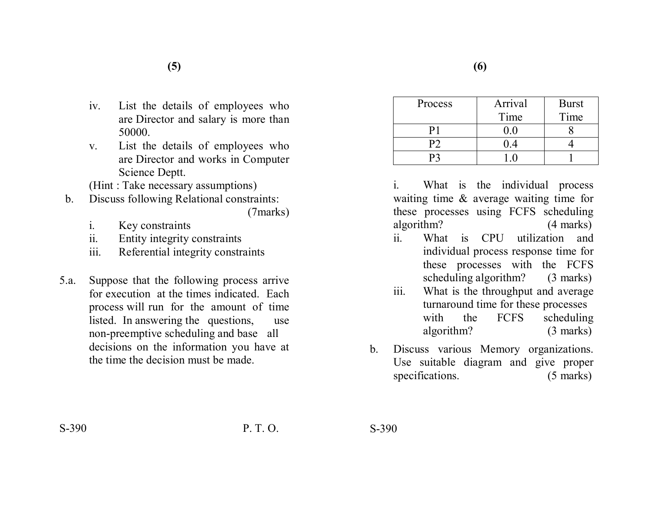- iv. List the details of employees who are Director and salary is more than 50000.
- v. List the details of employees who are Director and works in Computer Science Deptt.

(Hint : Take necessary assumptions)

- b. Discuss following Relational constraints: (7marks)
	- i. Key constraints
	- ii. Entity integrity constraints
	- iii. Referential integrity constraints
- 5.a. Suppose that the following process arrive for execution at the times indicated. Each process will run for the amount of time listed. In answering the questions, use non-preemptive scheduling and base all decisions on the information you have at the time the decision must be made.

| Process | Arrival | <b>Burst</b> |
|---------|---------|--------------|
|         | Time    | Time         |
|         |         |              |
|         |         |              |
|         |         |              |

i. What is the individual process waiting time & average waiting time for these processes using FCFS scheduling algorithm? (4 marks)

- ii. What is CPU utilization and individual process response time for these processes with the FCFS scheduling algorithm? (3 marks)
- iii. What is the throughput and average turnaround time for these processes with the FCFS scheduling algorithm? (3 marks)
- b. Discuss various Memory organizations. Use suitable diagram and give proper specifications. (5 marks)

 $S-390$  P. T. O.

S-390